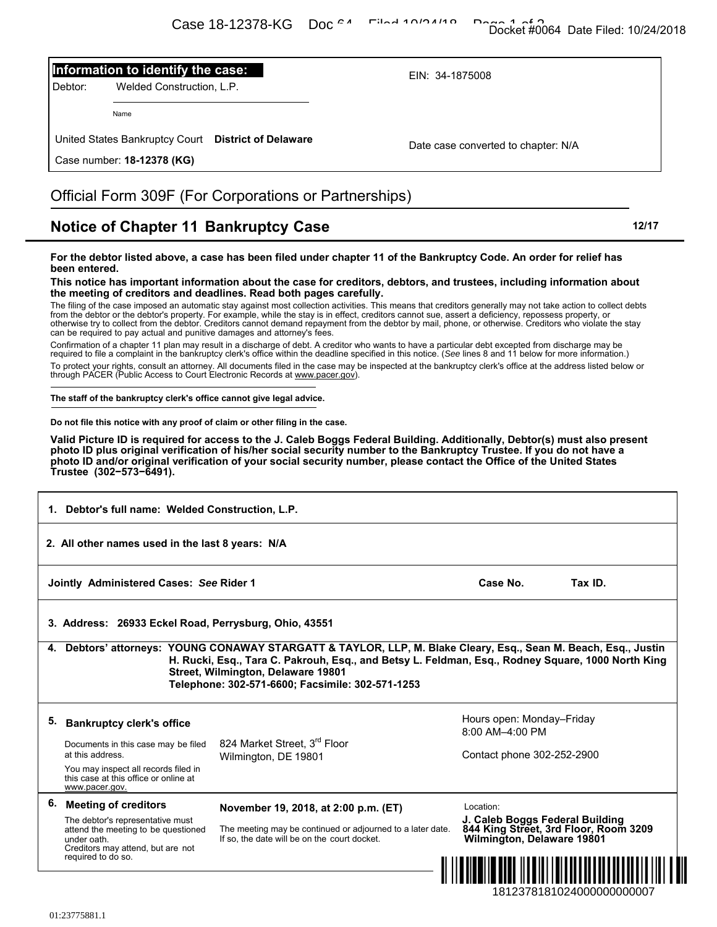## **Information to identify the case:**

## Official Form 309F (For Corporations or Partnerships)

## **Notice of Chapter 11 Bankruptcy Case 12/17** 12/17

| ר העניינגע דיסד <del>אי</del> סט                                                                                                                                                                                                                                                                                                                                                                                                                                                                                                                                                                                                                                                                                                                                                                                                                                                                                                                                                                                                                                                                                                                                                                                                                                                                                                                                                                                                                                                                                                                                                                                                                                                                                                                                                                                                                                                                                                                                                                                                                                                                                                                     | Docket #0064 Date Filed: 10/24/2018                                                                    |  |  |  |
|------------------------------------------------------------------------------------------------------------------------------------------------------------------------------------------------------------------------------------------------------------------------------------------------------------------------------------------------------------------------------------------------------------------------------------------------------------------------------------------------------------------------------------------------------------------------------------------------------------------------------------------------------------------------------------------------------------------------------------------------------------------------------------------------------------------------------------------------------------------------------------------------------------------------------------------------------------------------------------------------------------------------------------------------------------------------------------------------------------------------------------------------------------------------------------------------------------------------------------------------------------------------------------------------------------------------------------------------------------------------------------------------------------------------------------------------------------------------------------------------------------------------------------------------------------------------------------------------------------------------------------------------------------------------------------------------------------------------------------------------------------------------------------------------------------------------------------------------------------------------------------------------------------------------------------------------------------------------------------------------------------------------------------------------------------------------------------------------------------------------------------------------------|--------------------------------------------------------------------------------------------------------|--|--|--|
| Information to identify the case:<br>Welded Construction, L.P.<br>Debtor:                                                                                                                                                                                                                                                                                                                                                                                                                                                                                                                                                                                                                                                                                                                                                                                                                                                                                                                                                                                                                                                                                                                                                                                                                                                                                                                                                                                                                                                                                                                                                                                                                                                                                                                                                                                                                                                                                                                                                                                                                                                                            | EIN: 34-1875008                                                                                        |  |  |  |
| Name                                                                                                                                                                                                                                                                                                                                                                                                                                                                                                                                                                                                                                                                                                                                                                                                                                                                                                                                                                                                                                                                                                                                                                                                                                                                                                                                                                                                                                                                                                                                                                                                                                                                                                                                                                                                                                                                                                                                                                                                                                                                                                                                                 |                                                                                                        |  |  |  |
| United States Bankruptcy Court District of Delaware<br>Case number: 18-12378 (KG)                                                                                                                                                                                                                                                                                                                                                                                                                                                                                                                                                                                                                                                                                                                                                                                                                                                                                                                                                                                                                                                                                                                                                                                                                                                                                                                                                                                                                                                                                                                                                                                                                                                                                                                                                                                                                                                                                                                                                                                                                                                                    | Date case converted to chapter: N/A                                                                    |  |  |  |
| Official Form 309F (For Corporations or Partnerships)                                                                                                                                                                                                                                                                                                                                                                                                                                                                                                                                                                                                                                                                                                                                                                                                                                                                                                                                                                                                                                                                                                                                                                                                                                                                                                                                                                                                                                                                                                                                                                                                                                                                                                                                                                                                                                                                                                                                                                                                                                                                                                |                                                                                                        |  |  |  |
| <b>Notice of Chapter 11 Bankruptcy Case</b>                                                                                                                                                                                                                                                                                                                                                                                                                                                                                                                                                                                                                                                                                                                                                                                                                                                                                                                                                                                                                                                                                                                                                                                                                                                                                                                                                                                                                                                                                                                                                                                                                                                                                                                                                                                                                                                                                                                                                                                                                                                                                                          | 12/17                                                                                                  |  |  |  |
| For the debtor listed above, a case has been filed under chapter 11 of the Bankruptcy Code. An order for relief has<br>been entered.<br>This notice has important information about the case for creditors, debtors, and trustees, including information about<br>the meeting of creditors and deadlines. Read both pages carefully.<br>The filing of the case imposed an automatic stay against most collection activities. This means that creditors generally may not take action to collect debts<br>from the debtor or the debtor's property. For example, while the stay is in effect, creditors cannot sue, assert a deficiency, repossess property, or<br>otherwise try to collect from the debtor. Creditors cannot demand repayment from the debtor by mail, phone, or otherwise. Creditors who violate the stay<br>can be required to pay actual and punitive damages and attorney's fees.<br>Confirmation of a chapter 11 plan may result in a discharge of debt. A creditor who wants to have a particular debt excepted from discharge may be<br>required to file a complaint in the bankruptcy clerk's office within the deadline specified in this notice. (See lines 8 and 11 below for more information.)<br>To protect your rights, consult an attorney. All documents filed in the case may be inspected at the bankruptcy clerk's office at the address listed below or<br>through PACER (Public Access to Court Electronic Records at www.pacer.gov).<br>The staff of the bankruptcy clerk's office cannot give legal advice.<br>Do not file this notice with any proof of claim or other filing in the case.<br>Valid Picture ID is required for access to the J. Caleb Boggs Federal Building. Additionally, Debtor(s) must also present<br>photo ID plus original verification of his/her social security number to the Bankruptcy Trustee. If you do not have a<br>photo ID and/or original verification of your social security number, please contact the Office of the United States<br>Trustee (302-573-6491).<br>1. Debtor's full name: Welded Construction, L.P.<br>2. All other names used in the last 8 years: N/A |                                                                                                        |  |  |  |
| Jointly Administered Cases: See Rider 1                                                                                                                                                                                                                                                                                                                                                                                                                                                                                                                                                                                                                                                                                                                                                                                                                                                                                                                                                                                                                                                                                                                                                                                                                                                                                                                                                                                                                                                                                                                                                                                                                                                                                                                                                                                                                                                                                                                                                                                                                                                                                                              | Case No.<br>Tax ID.                                                                                    |  |  |  |
| 3. Address: 26933 Eckel Road, Perrysburg, Ohio, 43551                                                                                                                                                                                                                                                                                                                                                                                                                                                                                                                                                                                                                                                                                                                                                                                                                                                                                                                                                                                                                                                                                                                                                                                                                                                                                                                                                                                                                                                                                                                                                                                                                                                                                                                                                                                                                                                                                                                                                                                                                                                                                                |                                                                                                        |  |  |  |
| 4. Debtors' attorneys: YOUNG CONAWAY STARGATT & TAYLOR, LLP, M. Blake Cleary, Esq., Sean M. Beach, Esq., Justin<br>Street, Wilmington, Delaware 19801<br>Telephone: 302-571-6600; Facsimile: 302-571-1253                                                                                                                                                                                                                                                                                                                                                                                                                                                                                                                                                                                                                                                                                                                                                                                                                                                                                                                                                                                                                                                                                                                                                                                                                                                                                                                                                                                                                                                                                                                                                                                                                                                                                                                                                                                                                                                                                                                                            | H. Rucki, Esq., Tara C. Pakrouh, Esq., and Betsy L. Feldman, Esq., Rodney Square, 1000 North King      |  |  |  |
| 5.<br><b>Bankruptcy clerk's office</b>                                                                                                                                                                                                                                                                                                                                                                                                                                                                                                                                                                                                                                                                                                                                                                                                                                                                                                                                                                                                                                                                                                                                                                                                                                                                                                                                                                                                                                                                                                                                                                                                                                                                                                                                                                                                                                                                                                                                                                                                                                                                                                               | Hours open: Monday-Friday<br>8:00 AM-4:00 PM                                                           |  |  |  |
| 824 Market Street, 3rd Floor<br>Documents in this case may be filed<br>at this address.<br>Wilmington, DE 19801                                                                                                                                                                                                                                                                                                                                                                                                                                                                                                                                                                                                                                                                                                                                                                                                                                                                                                                                                                                                                                                                                                                                                                                                                                                                                                                                                                                                                                                                                                                                                                                                                                                                                                                                                                                                                                                                                                                                                                                                                                      | Contact phone 302-252-2900                                                                             |  |  |  |
| You may inspect all records filed in<br>this case at this office or online at<br>www.pacer.gov.                                                                                                                                                                                                                                                                                                                                                                                                                                                                                                                                                                                                                                                                                                                                                                                                                                                                                                                                                                                                                                                                                                                                                                                                                                                                                                                                                                                                                                                                                                                                                                                                                                                                                                                                                                                                                                                                                                                                                                                                                                                      |                                                                                                        |  |  |  |
| 6.<br><b>Meeting of creditors</b><br>November 19, 2018, at 2:00 p.m. (ET)                                                                                                                                                                                                                                                                                                                                                                                                                                                                                                                                                                                                                                                                                                                                                                                                                                                                                                                                                                                                                                                                                                                                                                                                                                                                                                                                                                                                                                                                                                                                                                                                                                                                                                                                                                                                                                                                                                                                                                                                                                                                            | Location:                                                                                              |  |  |  |
| The debtor's representative must<br>The meeting may be continued or adjourned to a later date.<br>attend the meeting to be questioned<br>If so, the date will be on the court docket.<br>under oath.<br>Creditors may attend, but are not                                                                                                                                                                                                                                                                                                                                                                                                                                                                                                                                                                                                                                                                                                                                                                                                                                                                                                                                                                                                                                                                                                                                                                                                                                                                                                                                                                                                                                                                                                                                                                                                                                                                                                                                                                                                                                                                                                            | J. Caleb Boggs Federal Building<br>844 King Street, 3rd Floor, Room 3209<br>Wilmington, Delaware 19801 |  |  |  |
| required to do so.                                                                                                                                                                                                                                                                                                                                                                                                                                                                                                                                                                                                                                                                                                                                                                                                                                                                                                                                                                                                                                                                                                                                                                                                                                                                                                                                                                                                                                                                                                                                                                                                                                                                                                                                                                                                                                                                                                                                                                                                                                                                                                                                   |                                                                                                        |  |  |  |

01:23775881.1